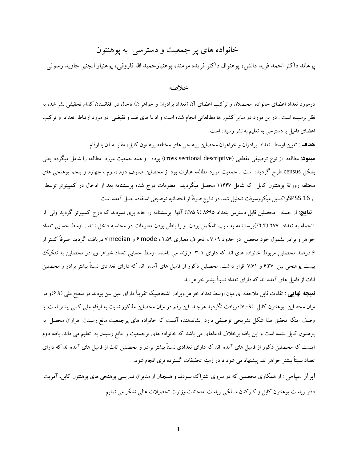## خانواده های پر جمعیت و دسترسی بِه پوهنتون

پوهاند داکتر احمد فرید دانش، پوهنوال داکتر فریده مومند، پوهنیارحمید الله فاروقی، پوهنیار انجنیر جاوید رسولی

## خالصِ

درمورد تعداد اعضای خانواده ًمحصلان و ترکیب اعضای آن (تعداد برادران و خواهران) تاحال در افغانستان کدام تحقیقی نشر شده به نظر نرسیده است . در ین مورد در سایر کشور ها مطالعاتی انجام شده است و ادعا های ضد و نقیضی ٍ در مورد ارتباط تعداد و ترکیب اعضای فامیل با دسترسی به تعلیم به نشر رسیده است.

ه**دف** : تعیین اوسط تعداد برادران و خواهران محصلین پوهنحی های مختلفه پوهنتون کابل، مقایسه آن با ارقام ه**یتود**: مطالعه از نوع توصیفی مقطعی (cross sectional descriptive) بوده و همه جمعیت مورد مطالعه را شامل میگردد یعنی بشکل census طرح گردیده است . جمعیت مورد مطالعه عبارت بود از محصلین صنوف دوم ،سوم ، چهارم و پنجم پوهنحی های مختلفه روزانهٔ پوهنتون کابل که شامل ۱۱۴۴۷ محصل میگردید. معلومات درج شده پرسشنامه بعد از ادخال در کمپیتوتر توسط , SPSS.16واکسیل میکروسوفت تحلیل شد. در نتایج صرفاً از احصائیه توصیفی استفاده بعمل آمده است.

**نتایج**: از جمله محصلین قابل دسترس بتعداد ۸۶۹۵ (۷۵.۹٪) آنها پرسشنامه را خانه پری نمودند که درج کمپیوتر گردید ولی از آنجمله به تعداد 7٧٧ (٢.۴٪)پرسشنامه به سبب نامکمل بودن و یا باطل بودن معلومات در محاسبه داخل نشد . اوسط حسابی تعداد خواهر و برادر بشمول خود محصل در حدود ۷.۰۹، انحراف معیاری ۰۲.۵۹ ، mode و median دریافت گردید. صرفاً کمتر از 9 درصد محصلین مربوط خانواده های اند که دارای ١–٣ فرزند می باشند. اوسط حسابی تعداد خواهر وبرادر محصلین به تفکیک بیست پوهنحی بین 9.۳۷ و ۷.۷۱ قرار داشت. محصلین ذکور از فامیل های آمده اند که دارای تعدادی نسبتاً بیشتر برادر و محصلین اناث از فامیل های آمده اند که دارای تعداد نسبتاً بیشتر خواهر اند

**نتیجِه نهایی** : تفاوت قابل ملاحظه ای میان اوسط تعداد خواهر وبرادر اشخاصیکه تقریباً دارای عین سن بودند در سطح ملی (۶.۹)و در میان محصلین پوهنتون کابل (۷.۰۹)دریافت نگردید هرچند این رقم در میان محصلین مذکور نسبت به ارقام ملی کمی بیشتر است. با وصف اینکه تحقیق هذا شکل تشریحی توصیفی دارد نشاندهنده آنست که خانواده های پرجمعیت مانع رسیدن هزاران محصل به پوهنتون کابل نشده است و این یافته برخلاف ادعاهای می باشد که خانواده های پرجمعیت را مانع رسیدن به تعلیم می داند. یافته دوم اینست که محصلین ذکور از فامیل های آمده اند که دارای تعدادی نسبتاً بیشتر برادر و محصلین اناث از فامیل های آمده اند که دارای تعداد نسبتاً بیشتر خواهر اند. پیشنهاد می شود تا در زمینه تحقیقات گسترده تری انجام شود.

ابو از سپاس : از همکاری محصلین که در سروی اشتراک نمودند و همچنان از مدیران تدریسی پوهنحی های پوهنتون کابل، آمریت دفتر ریاست پوهنتون کابل و کارکنان مسلکی ریاست امتحانات وزارت تحصیلات عالی تشکر می نمایم.